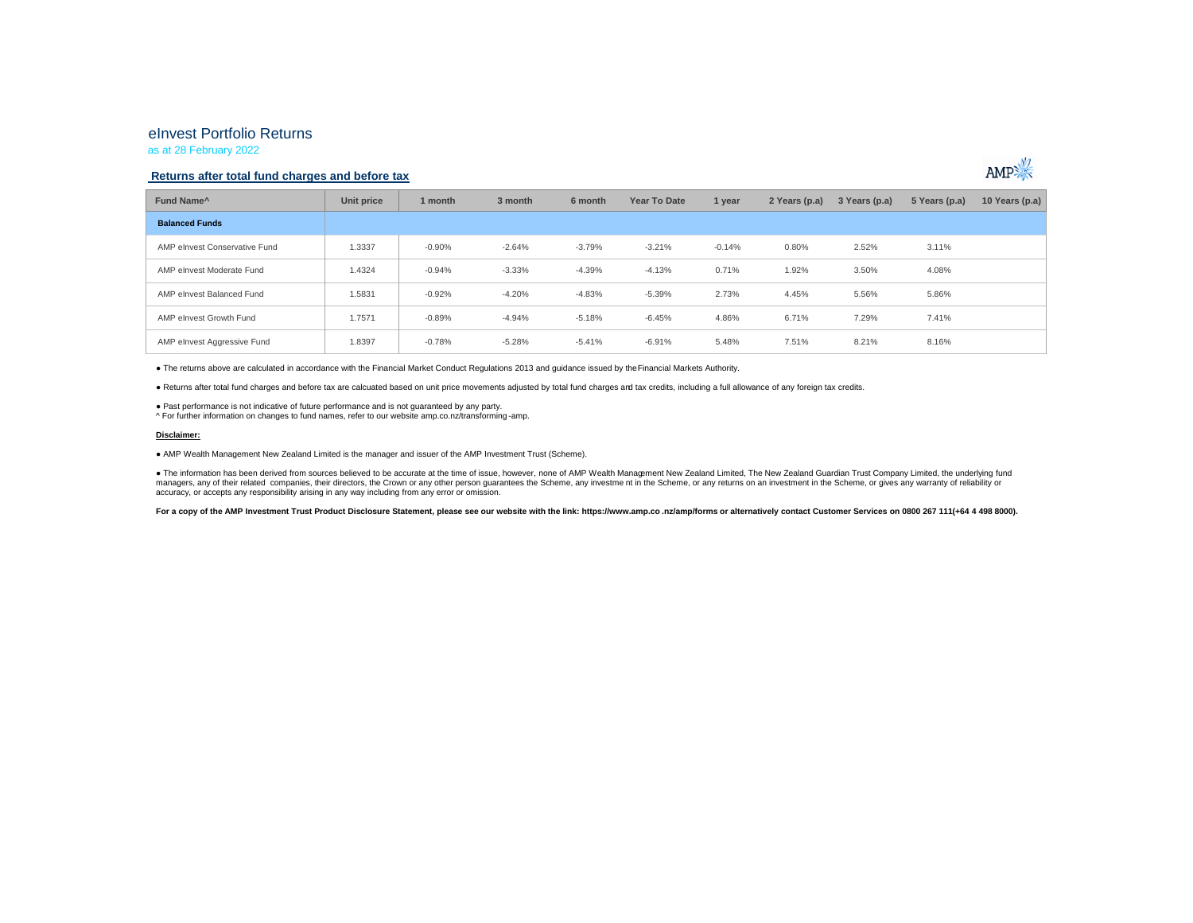# eInvest Portfolio Returns

as at 28 February 2022

### **Returns after total fund charges and before tax**



● The returns above are calculated in accordance with the Financial Market Conduct Regulations 2013 and guidance issued by the Financial Markets Authority.

● Returns after total fund charges and before tax are calcuated based on unit price movements adjusted by total fund charges and tax credits, including a full allowance of any foreign tax credits.

● Past performance is not indicative of future performance and is not guaranteed by any party.

^ For further information on changes to fund names, refer to our website amp.co.nz/transforming -amp.

#### **Disclaimer:**

● AMP Wealth Management New Zealand Limited is the manager and issuer of the AMP Investment Trust (Scheme).

● The information has been derived from sources believed to be accurate at the time of issue, however, none of AMP Wealth Management New Zealand Limited, The New Zealand Guardian Trust Company Limited, the underlying fund managers, any of their related companies, their directors, the Crown or any other person guarantees the Scheme, any investment in the Scheme, or any returns on an investment in the Scheme, or any returns on an investment i accuracy, or accepts any responsibility arising in any way including from any error or omission.

For a copy of the AMP Investment Trust Product Disclosure Statement, please see our website with the link: https://www.amp.co.nz/amp/forms or alternatively contact Customer Services on 0800 267 111(+64 4 498 8000).